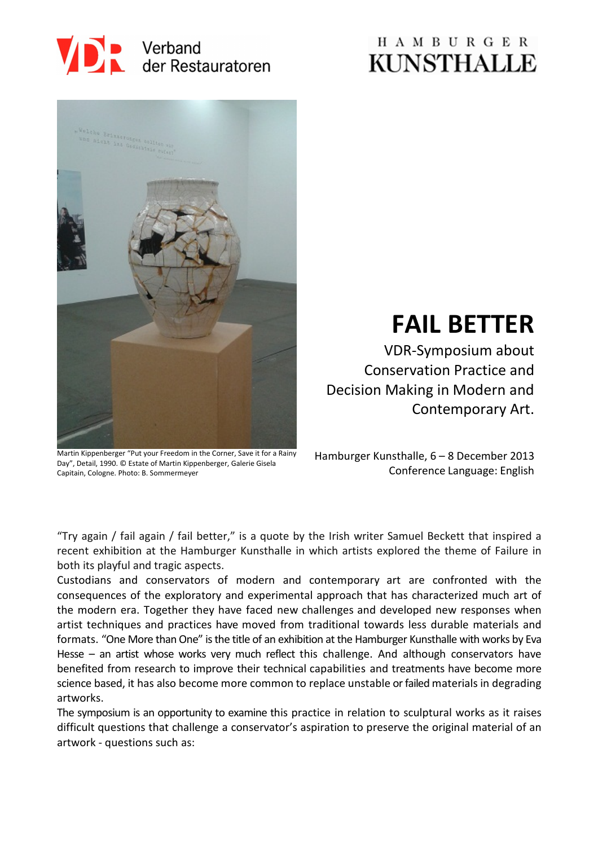

## **HAMBURGER KUNSTHALLE**



# **FAIL BETTER**

VDR-Symposium about Conservation Practice and Decision Making in Modern and Contemporary Art.

Martin Kippenberger "Put your Freedom in the Corner, Save it for a Rainy Day", Detail, 1990. © Estate of Martin Kippenberger, Galerie Gisela Capitain, Cologne. Photo: B. Sommermeyer

Hamburger Kunsthalle, 6 – 8 December 2013 Conference Language: English

"Try again / fail again / fail better," is a quote by the Irish writer Samuel Beckett that inspired a recent exhibition at the Hamburger Kunsthalle in which artists explored the theme of Failure in both its playful and tragic aspects.

Custodians and conservators of modern and contemporary art are confronted with the consequences of the exploratory and experimental approach that has characterized much art of the modern era. Together they have faced new challenges and developed new responses when artist techniques and practices have moved from traditional towards less durable materials and formats. "One More than One" is the title of an exhibition at the Hamburger Kunsthalle with works by Eva Hesse – an artist whose works very much reflect this challenge. And although conservators have benefited from research to improve their technical capabilities and treatments have become more science based, it has also become more common to replace unstable or failed materials in degrading artworks.

The symposium is an opportunity to examine this practice in relation to sculptural works as it raises difficult questions that challenge a conservator's aspiration to preserve the original material of an artwork - questions such as: